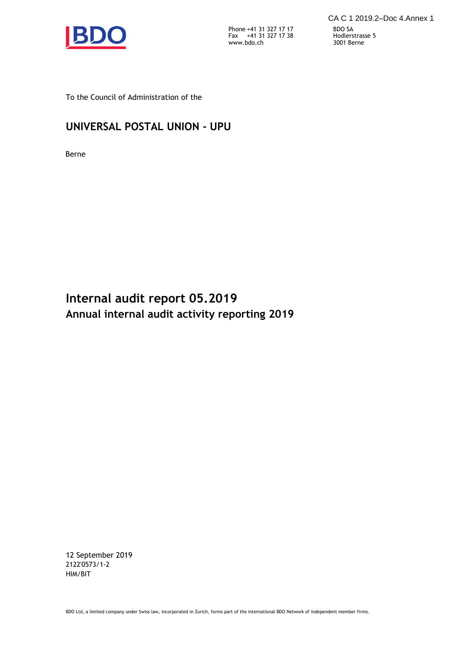

Phone Fax +41 31 327 17 17 +41 31 327 17 38 www.bdo.ch 3001 Berne

To the Council of Administration of the

# **UNIVERSAL POSTAL UNION - UPU**

Berne

**Internal audit report 05.2019 Annual internal audit activity reporting 2019**

12 September 2019 2122'0573/1-2 HIM/BIT

BDO Ltd, a limited company under Swiss law, incorporated in Zurich, forms part of the international BDO Network of independent member firms.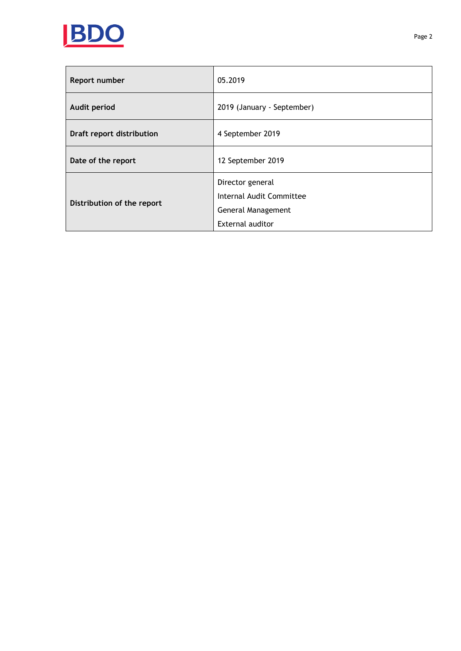

| Report number              | 05.2019                    |
|----------------------------|----------------------------|
| Audit period               | 2019 (January - September) |
| Draft report distribution  | 4 September 2019           |
| Date of the report         | 12 September 2019          |
| Distribution of the report | Director general           |
|                            | Internal Audit Committee   |
|                            | General Management         |
|                            | External auditor           |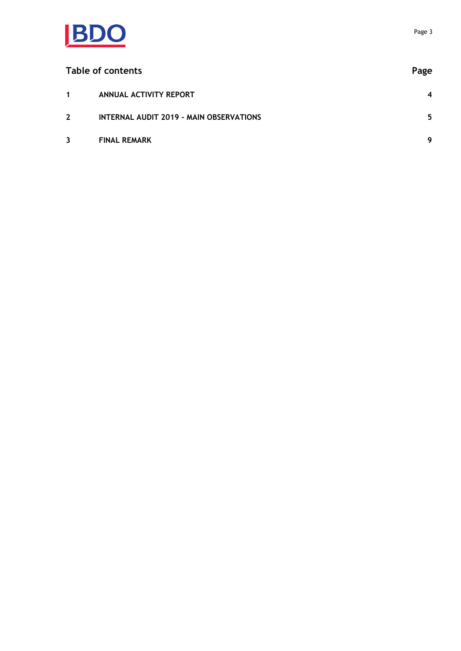

| Table of contents |                                                | Page             |
|-------------------|------------------------------------------------|------------------|
| $\mathbf 1$       | ANNUAL ACTIVITY REPORT                         | $\boldsymbol{4}$ |
| $2^{\circ}$       | <b>INTERNAL AUDIT 2019 - MAIN OBSERVATIONS</b> | 5                |
| $\overline{3}$    | <b>FINAL REMARK</b>                            | 9                |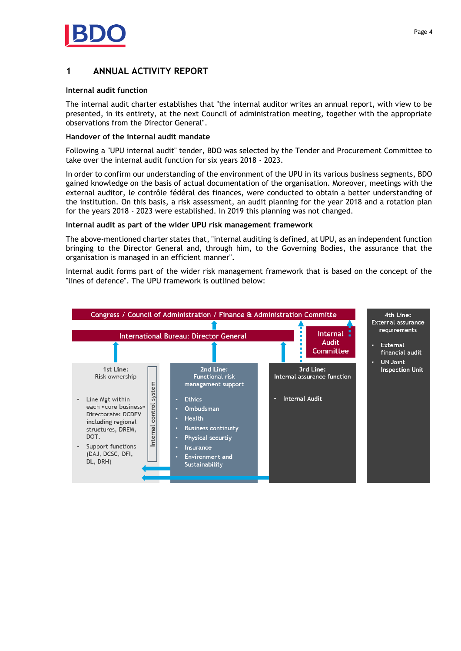

# <span id="page-3-0"></span>**1 ANNUAL ACTIVITY REPORT**

#### **Internal audit function**

The internal audit charter establishes that "the internal auditor writes an annual report, with view to be presented, in its entirety, at the next Council of administration meeting, together with the appropriate observations from the Director General".

#### **Handover of the internal audit mandate**

Following a "UPU internal audit" tender, BDO was selected by the Tender and Procurement Committee to take over the internal audit function for six years 2018 - 2023.

In order to confirm our understanding of the environment of the UPU in its various business segments, BDO gained knowledge on the basis of actual documentation of the organisation. Moreover, meetings with the external auditor, le contrôle fédéral des finances, were conducted to obtain a better understanding of the institution. On this basis, a risk assessment, an audit planning for the year 2018 and a rotation plan for the years 2018 - 2023 were established. In 2019 this planning was not changed.

#### **Internal audit as part of the wider UPU risk management framework**

The above-mentioned charter states that, "internal auditing is defined, at UPU, as an independent function bringing to the Director General and, through him, to the Governing Bodies, the assurance that the organisation is managed in an efficient manner".

Internal audit forms part of the wider risk management framework that is based on the concept of the "lines of defence". The UPU framework is outlined below:

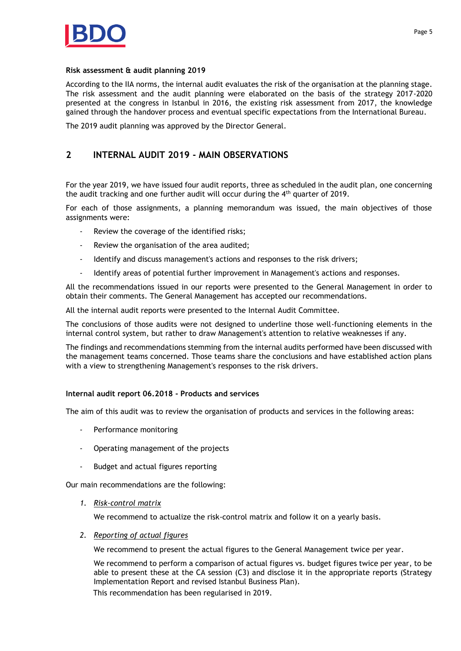

#### **Risk assessment & audit planning 2019**

According to the IIA norms, the internal audit evaluates the risk of the organisation at the planning stage. The risk assessment and the audit planning were elaborated on the basis of the strategy 2017-2020 presented at the congress in Istanbul in 2016, the existing risk assessment from 2017, the knowledge gained through the handover process and eventual specific expectations from the International Bureau.

The 2019 audit planning was approved by the Director General.

# <span id="page-4-0"></span>**2 INTERNAL AUDIT 2019 - MAIN OBSERVATIONS**

For the year 2019, we have issued four audit reports, three as scheduled in the audit plan, one concerning the audit tracking and one further audit will occur during the 4<sup>th</sup> quarter of 2019.

For each of those assignments, a planning memorandum was issued, the main objectives of those assignments were:

- Review the coverage of the identified risks;
- Review the organisation of the area audited;
- Identify and discuss management's actions and responses to the risk drivers;
- Identify areas of potential further improvement in Management's actions and responses.

All the recommendations issued in our reports were presented to the General Management in order to obtain their comments. The General Management has accepted our recommendations.

All the internal audit reports were presented to the Internal Audit Committee.

The conclusions of those audits were not designed to underline those well-functioning elements in the internal control system, but rather to draw Management's attention to relative weaknesses if any.

The findings and recommendations stemming from the internal audits performed have been discussed with the management teams concerned. Those teams share the conclusions and have established action plans with a view to strengthening Management's responses to the risk drivers.

# **Internal audit report 06.2018 - Products and services**

The aim of this audit was to review the organisation of products and services in the following areas:

- Performance monitoring
- Operating management of the projects
- Budget and actual figures reporting

Our main recommendations are the following:

*1. Risk-control matrix*

We recommend to actualize the risk-control matrix and follow it on a yearly basis.

*2. Reporting of actual figures*

We recommend to present the actual figures to the General Management twice per year.

We recommend to perform a comparison of actual figures vs. budget figures twice per year, to be able to present these at the CA session (C3) and disclose it in the appropriate reports (Strategy Implementation Report and revised Istanbul Business Plan). This recommendation has been regularised in 2019.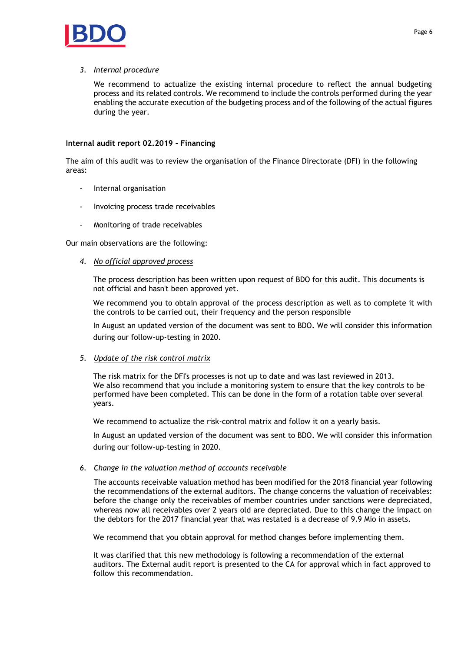

# *3. Internal procedure*

We recommend to actualize the existing internal procedure to reflect the annual budgeting process and its related controls. We recommend to include the controls performed during the year enabling the accurate execution of the budgeting process and of the following of the actual figures during the year.

# **Internal audit report 02.2019 - Financing**

The aim of this audit was to review the organisation of the Finance Directorate (DFI) in the following areas:

- Internal organisation
- Invoicing process trade receivables
- Monitoring of trade receivables

Our main observations are the following:

# *4. No official approved process*

The process description has been written upon request of BDO for this audit. This documents is not official and hasn't been approved yet.

We recommend you to obtain approval of the process description as well as to complete it with the controls to be carried out, their frequency and the person responsible

In August an updated version of the document was sent to BDO. We will consider this information during our follow-up-testing in 2020.

# *5. Update of the risk control matrix*

The risk matrix for the DFI's processes is not up to date and was last reviewed in 2013. We also recommend that you include a monitoring system to ensure that the key controls to be performed have been completed. This can be done in the form of a rotation table over several years.

We recommend to actualize the risk-control matrix and follow it on a yearly basis.

In August an updated version of the document was sent to BDO. We will consider this information during our follow-up-testing in 2020.

# *6. Change in the valuation method of accounts receivable*

The accounts receivable valuation method has been modified for the 2018 financial year following the recommendations of the external auditors. The change concerns the valuation of receivables: before the change only the receivables of member countries under sanctions were depreciated, whereas now all receivables over 2 years old are depreciated. Due to this change the impact on the debtors for the 2017 financial year that was restated is a decrease of 9.9 Mio in assets.

We recommend that you obtain approval for method changes before implementing them.

It was clarified that this new methodology is following a recommendation of the external auditors. The External audit report is presented to the CA for approval which in fact approved to follow this recommendation.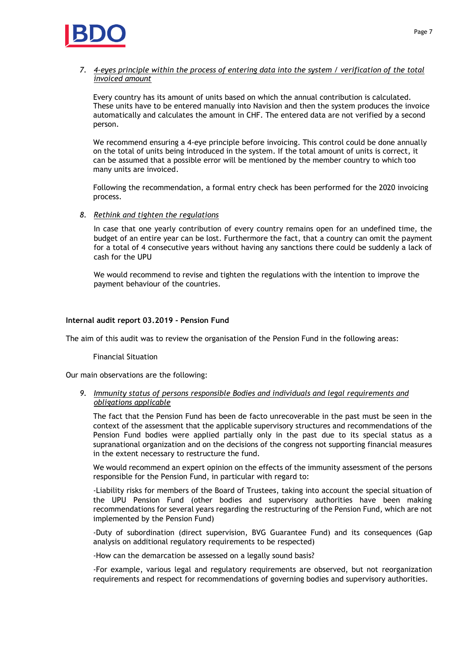

# *7. 4-eyes principle within the process of entering data into the system / verification of the total invoiced amount*

Every country has its amount of units based on which the annual contribution is calculated. These units have to be entered manually into Navision and then the system produces the invoice automatically and calculates the amount in CHF. The entered data are not verified by a second person.

We recommend ensuring a 4-eye principle before invoicing. This control could be done annually on the total of units being introduced in the system. If the total amount of units is correct, it can be assumed that a possible error will be mentioned by the member country to which too many units are invoiced.

Following the recommendation, a formal entry check has been performed for the 2020 invoicing process.

*8. Rethink and tighten the regulations*

In case that one yearly contribution of every country remains open for an undefined time, the budget of an entire year can be lost. Furthermore the fact, that a country can omit the payment for a total of 4 consecutive years without having any sanctions there could be suddenly a lack of cash for the UPU

We would recommend to revise and tighten the regulations with the intention to improve the payment behaviour of the countries.

#### **Internal audit report 03.2019 - Pension Fund**

The aim of this audit was to review the organisation of the Pension Fund in the following areas:

Financial Situation

Our main observations are the following:

*9. Immunity status of persons responsible Bodies and individuals and legal requirements and obligations applicable*

The fact that the Pension Fund has been de facto unrecoverable in the past must be seen in the context of the assessment that the applicable supervisory structures and recommendations of the Pension Fund bodies were applied partially only in the past due to its special status as a supranational organization and on the decisions of the congress not supporting financial measures in the extent necessary to restructure the fund.

We would recommend an expert opinion on the effects of the immunity assessment of the persons responsible for the Pension Fund, in particular with regard to:

-Liability risks for members of the Board of Trustees, taking into account the special situation of the UPU Pension Fund (other bodies and supervisory authorities have been making recommendations for several years regarding the restructuring of the Pension Fund, which are not implemented by the Pension Fund)

-Duty of subordination (direct supervision, BVG Guarantee Fund) and its consequences (Gap analysis on additional regulatory requirements to be respected)

-How can the demarcation be assessed on a legally sound basis?

-For example, various legal and regulatory requirements are observed, but not reorganization requirements and respect for recommendations of governing bodies and supervisory authorities.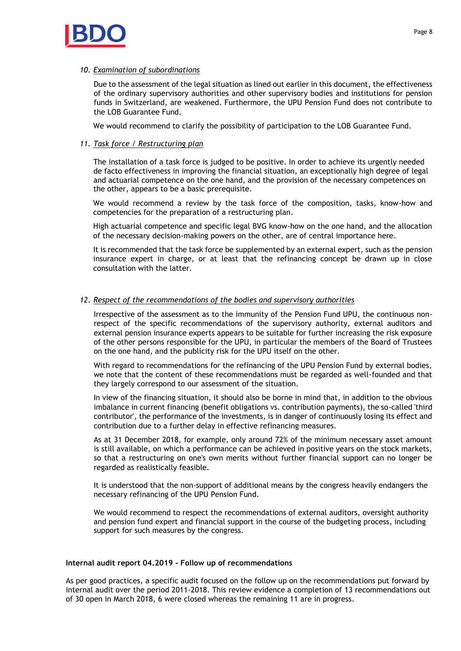

#### *10. Examination of subordinations*

Due to the assessment of the legal situation as lined out earlier in this document, the effectiveness of the ordinary supervisory authorities and other supervisory bodies and institutions for pension funds in Switzerland, are weakened. Furthermore, the UPU Pension Fund does not contribute to the LOB Guarantee Fund.

We would recommend to clarify the possibility of participation to the LOB Guarantee Fund.

# *11. Task force / Restructuring plan*

The installation of a task force is judged to be positive. In order to achieve its urgently needed de facto effectiveness in improving the financial situation, an exceptionally high degree of legal and actuarial competence on the one hand, and the provision of the necessary competences on the other, appears to be a basic prerequisite.

We would recommend a review by the task force of the composition, tasks, know-how and competencies for the preparation of a restructuring plan.

High actuarial competence and specific legal BVG know-how on the one hand, and the allocation of the necessary decision-making powers on the other, are of central importance here.

It is recommended that the task force be supplemented by an external expert, such as the pension insurance expert in charge, or at least that the refinancing concept be drawn up in close consultation with the latter.

# *12. Respect of the recommendations of the bodies and supervisory authorities*

Irrespective of the assessment as to the immunity of the Pension Fund UPU, the continuous nonrespect of the specific recommendations of the supervisory authority, external auditors and external pension insurance experts appears to be suitable for further increasing the risk exposure of the other persons responsible for the UPU, in particular the members of the Board of Trustees on the one hand, and the publicity risk for the UPU itself on the other.

With regard to recommendations for the refinancing of the UPU Pension Fund by external bodies, we note that the content of these recommendations must be regarded as well-founded and that they largely correspond to our assessment of the situation.

In view of the financing situation, it should also be borne in mind that, in addition to the obvious imbalance in current financing (benefit obligations vs. contribution payments), the so-called 'third contributor', the performance of the investments, is in danger of continuously losing its effect and contribution due to a further delay in effective refinancing measures.

As at 31 December 2018, for example, only around 72% of the minimum necessary asset amount is still available, on which a performance can be achieved in positive years on the stock markets, so that a restructuring on one's own merits without further financial support can no longer be regarded as realistically feasible.

It is understood that the non-support of additional means by the congress heavily endangers the necessary refinancing of the UPU Pension Fund.

We would recommend to respect the recommendations of external auditors, oversight authority and pension fund expert and financial support in the course of the budgeting process, including support for such measures by the congress.

#### **Internal audit report 04.2019 - Follow up of recommendations**

As per good practices, a specific audit focused on the follow up on the recommendations put forward by internal audit over the period 2011-2018. This review evidence a completion of 13 recommendations out of 30 open in March 2018, 6 were closed whereas the remaining 11 are in progress.